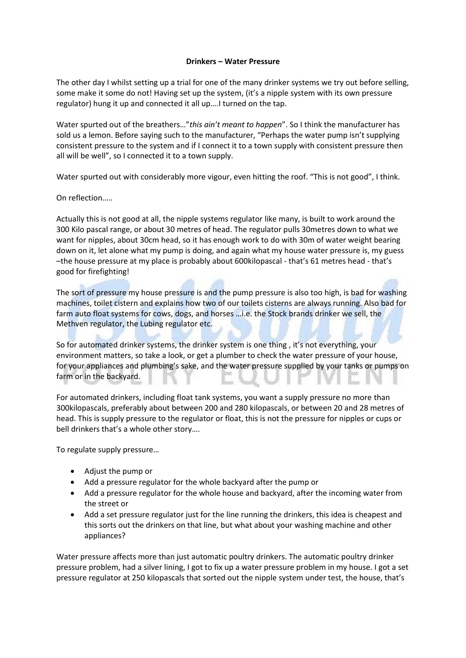## **Drinkers – Water Pressure**

The other day I whilst setting up a trial for one of the many drinker systems we try out before selling, some make it some do not! Having set up the system, (it's a nipple system with its own pressure regulator) hung it up and connected it all up….I turned on the tap.

Water spurted out of the breathers…"*this ain't meant to happen*". So I think the manufacturer has sold us a lemon. Before saying such to the manufacturer, "Perhaps the water pump isn't supplying consistent pressure to the system and if I connect it to a town supply with consistent pressure then all will be well", so I connected it to a town supply.

Water spurted out with considerably more vigour, even hitting the roof. "This is not good", I think.

On reflection…..

Actually this is not good at all, the nipple systems regulator like many, is built to work around the 300 Kilo pascal range, or about 30 metres of head. The regulator pulls 30metres down to what we want for nipples, about 30cm head, so it has enough work to do with 30m of water weight bearing down on it, let alone what my pump is doing, and again what my house water pressure is, my guess –the house pressure at my place is probably about 600kilopascal - that's 61 metres head - that's good for firefighting!

The sort of pressure my house pressure is and the pump pressure is also too high, is bad for washing machines, toilet cistern and explains how two of our toilets cisterns are always running. Also bad for farm auto float systems for cows, dogs, and horses …i.e. the Stock brands drinker we sell, the Methven regulator, the Lubing regulator etc.

So for automated drinker systems, the drinker system is one thing , it's not everything, your environment matters, so take a look, or get a plumber to check the water pressure of your house, for your appliances and plumbing's sake, and the water pressure supplied by your tanks or pumps on farm or in the backyard.

For automated drinkers, including float tank systems, you want a supply pressure no more than 300kilopascals, preferably about between 200 and 280 kilopascals, or between 20 and 28 metres of head. This is supply pressure to the regulator or float, this is not the pressure for nipples or cups or bell drinkers that's a whole other story….

To regulate supply pressure…

- Adjust the pump or
- Add a pressure regulator for the whole backyard after the pump or
- Add a pressure regulator for the whole house and backyard, after the incoming water from the street or
- Add a set pressure regulator just for the line running the drinkers, this idea is cheapest and this sorts out the drinkers on that line, but what about your washing machine and other appliances?

Water pressure affects more than just automatic poultry drinkers. The automatic poultry drinker pressure problem, had a silver lining, I got to fix up a water pressure problem in my house. I got a set pressure regulator at 250 kilopascals that sorted out the nipple system under test, the house, that's